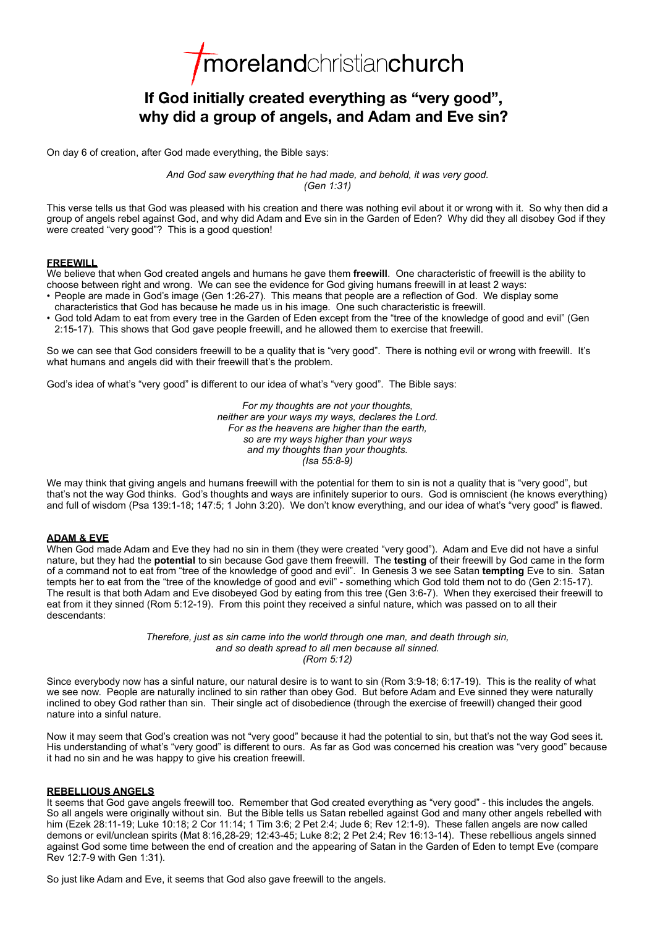*Imorelandchristianchurch* 

# **If God initially created everything as "very good", why did a group of angels, and Adam and Eve sin?**

On day 6 of creation, after God made everything, the Bible says:

*And God saw everything that he had made, and behold, it was very good. (Gen 1:31)*

This verse tells us that God was pleased with his creation and there was nothing evil about it or wrong with it. So why then did a group of angels rebel against God, and why did Adam and Eve sin in the Garden of Eden? Why did they all disobey God if they were created "very good"? This is a good question!

### **FREEWILL**

We believe that when God created angels and humans he gave them **freewill**. One characteristic of freewill is the ability to choose between right and wrong. We can see the evidence for God giving humans freewill in at least 2 ways:

- People are made in God's image (Gen 1:26-27). This means that people are a reflection of God. We display some characteristics that God has because he made us in his image. One such characteristic is freewill.
- God told Adam to eat from every tree in the Garden of Eden except from the "tree of the knowledge of good and evil" (Gen 2:15-17). This shows that God gave people freewill, and he allowed them to exercise that freewill.

So we can see that God considers freewill to be a quality that is "very good". There is nothing evil or wrong with freewill. It's what humans and angels did with their freewill that's the problem.

God's idea of what's "very good" is different to our idea of what's "very good". The Bible says:

*For my thoughts are not your thoughts, neither are your ways my ways, declares the Lord. For as the heavens are higher than the earth, so are my ways higher than your ways and my thoughts than your thoughts. (Isa 55:8-9)*

We may think that giving angels and humans freewill with the potential for them to sin is not a quality that is "very good", but that's not the way God thinks. God's thoughts and ways are infinitely superior to ours. God is omniscient (he knows everything) and full of wisdom (Psa 139:1-18; 147:5; 1 John 3:20). We don't know everything, and our idea of what's "very good" is flawed.

## **ADAM & EVE**

When God made Adam and Eve they had no sin in them (they were created "very good"). Adam and Eve did not have a sinful nature, but they had the **potential** to sin because God gave them freewill. The **testing** of their freewill by God came in the form of a command not to eat from "tree of the knowledge of good and evil". In Genesis 3 we see Satan **tempting** Eve to sin. Satan tempts her to eat from the "tree of the knowledge of good and evil" - something which God told them not to do (Gen 2:15-17). The result is that both Adam and Eve disobeyed God by eating from this tree (Gen 3:6-7). When they exercised their freewill to eat from it they sinned (Rom 5:12-19). From this point they received a sinful nature, which was passed on to all their descendants:

> *Therefore, just as sin came into the world through one man, and death through sin, and so death spread to all men because all sinned. (Rom 5:12)*

Since everybody now has a sinful nature, our natural desire is to want to sin (Rom 3:9-18; 6:17-19). This is the reality of what we see now. People are naturally inclined to sin rather than obey God. But before Adam and Eve sinned they were naturally inclined to obey God rather than sin. Their single act of disobedience (through the exercise of freewill) changed their good nature into a sinful nature.

Now it may seem that God's creation was not "very good" because it had the potential to sin, but that's not the way God sees it. His understanding of what's "very good" is different to ours. As far as God was concerned his creation was "very good" because it had no sin and he was happy to give his creation freewill.

### **REBELLIOUS ANGELS**

It seems that God gave angels freewill too. Remember that God created everything as "very good" - this includes the angels. So all angels were originally without sin. But the Bible tells us Satan rebelled against God and many other angels rebelled with him (Ezek 28:11-19; Luke 10:18; 2 Cor 11:14; 1 Tim 3:6; 2 Pet 2:4; Jude 6; Rev 12:1-9). These fallen angels are now called demons or evil/unclean spirits (Mat 8:16,28-29; 12:43-45; Luke 8:2; 2 Pet 2:4; Rev 16:13-14). These rebellious angels sinned against God some time between the end of creation and the appearing of Satan in the Garden of Eden to tempt Eve (compare Rev 12:7-9 with Gen 1:31).

So just like Adam and Eve, it seems that God also gave freewill to the angels.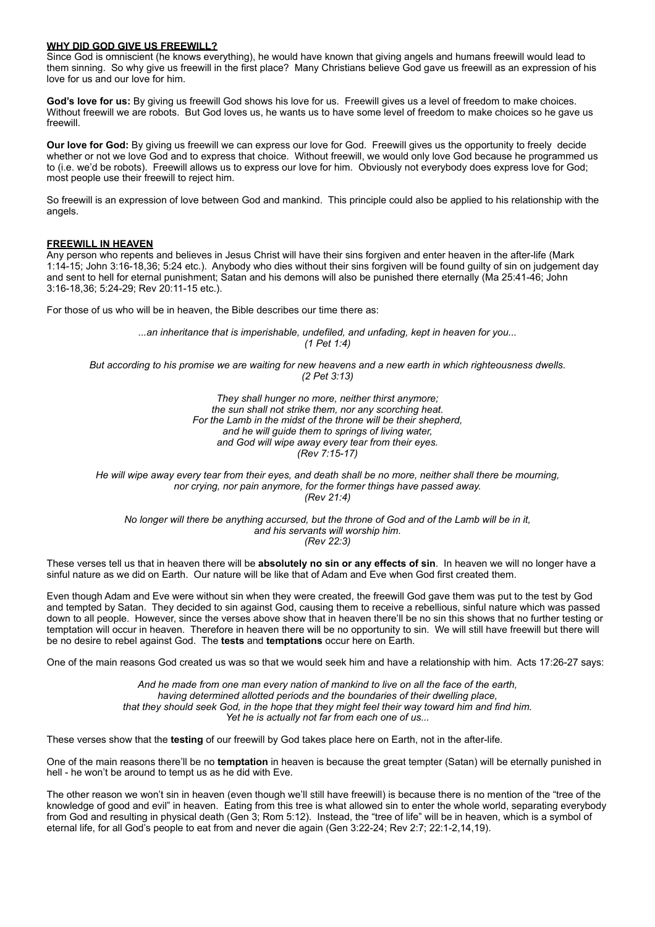### **WHY DID GOD GIVE US FREEWILL?**

Since God is omniscient (he knows everything), he would have known that giving angels and humans freewill would lead to them sinning. So why give us freewill in the first place? Many Christians believe God gave us freewill as an expression of his love for us and our love for him.

**God's love for us:** By giving us freewill God shows his love for us. Freewill gives us a level of freedom to make choices. Without freewill we are robots. But God loves us, he wants us to have some level of freedom to make choices so he gave us freewill.

**Our love for God:** By giving us freewill we can express our love for God. Freewill gives us the opportunity to freely decide whether or not we love God and to express that choice. Without freewill, we would only love God because he programmed us to (i.e. we'd be robots). Freewill allows us to express our love for him. Obviously not everybody does express love for God; most people use their freewill to reject him.

So freewill is an expression of love between God and mankind. This principle could also be applied to his relationship with the angels.

#### **FREEWILL IN HEAVEN**

Any person who repents and believes in Jesus Christ will have their sins forgiven and enter heaven in the after-life (Mark 1:14-15; John 3:16-18,36; 5:24 etc.). Anybody who dies without their sins forgiven will be found guilty of sin on judgement day and sent to hell for eternal punishment; Satan and his demons will also be punished there eternally (Ma 25:41-46; John 3:16-18,36; 5:24-29; Rev 20:11-15 etc.).

For those of us who will be in heaven, the Bible describes our time there as:

*...an inheritance that is imperishable, undefiled, and unfading, kept in heaven for you... (1 Pet 1:4)*

*But according to his promise we are waiting for new heavens and a new earth in which righteousness dwells. (2 Pet 3:13)*

> *They shall hunger no more, neither thirst anymore; the sun shall not strike them, nor any scorching heat. For the Lamb in the midst of the throne will be their shepherd, and he will guide them to springs of living water, and God will wipe away every tear from their eyes. (Rev 7:15-17)*

*He will wipe away every tear from their eyes, and death shall be no more, neither shall there be mourning, nor crying, nor pain anymore, for the former things have passed away. (Rev 21:4)*

*No longer will there be anything accursed, but the throne of God and of the Lamb will be in it, and his servants will worship him. (Rev 22:3)*

These verses tell us that in heaven there will be **absolutely no sin or any effects of sin**. In heaven we will no longer have a sinful nature as we did on Earth. Our nature will be like that of Adam and Eve when God first created them.

Even though Adam and Eve were without sin when they were created, the freewill God gave them was put to the test by God and tempted by Satan. They decided to sin against God, causing them to receive a rebellious, sinful nature which was passed down to all people. However, since the verses above show that in heaven there'll be no sin this shows that no further testing or temptation will occur in heaven. Therefore in heaven there will be no opportunity to sin. We will still have freewill but there will be no desire to rebel against God. The **tests** and **temptations** occur here on Earth.

One of the main reasons God created us was so that we would seek him and have a relationship with him. Acts 17:26-27 says:

*And he made from one man every nation of mankind to live on all the face of the earth, having determined allotted periods and the boundaries of their dwelling place, that they should seek God, in the hope that they might feel their way toward him and find him. Yet he is actually not far from each one of us...*

These verses show that the **testing** of our freewill by God takes place here on Earth, not in the after-life.

One of the main reasons there'll be no **temptation** in heaven is because the great tempter (Satan) will be eternally punished in hell - he won't be around to tempt us as he did with Eve.

The other reason we won't sin in heaven (even though we'll still have freewill) is because there is no mention of the "tree of the knowledge of good and evil" in heaven. Eating from this tree is what allowed sin to enter the whole world, separating everybody from God and resulting in physical death (Gen 3; Rom 5:12). Instead, the "tree of life" will be in heaven, which is a symbol of eternal life, for all God's people to eat from and never die again (Gen 3:22-24; Rev 2:7; 22:1-2,14,19).